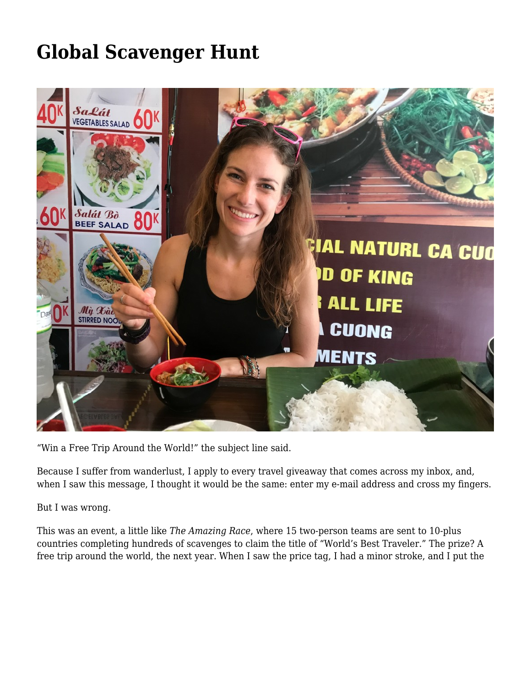## **[Global Scavenger Hunt](https://motifri.com/global-scavengers/)**



"Win a Free Trip Around the World!" the subject line said.

Because I suffer from wanderlust, I apply to every travel giveaway that comes across my inbox, and, when I saw this message, I thought it would be the same: enter my e-mail address and cross my fingers.

But I was wrong.

This was an event, a little like *[The Amazing Race](https://en.wikipedia.org/wiki/The_Amazing_Race)*, where 15 two-person teams are sent to 10-plus countries completing hundreds of scavenges to claim the title of "World's Best Traveler." The prize? A free trip around the world, the next year. When I saw the price tag, I had a minor stroke, and I put the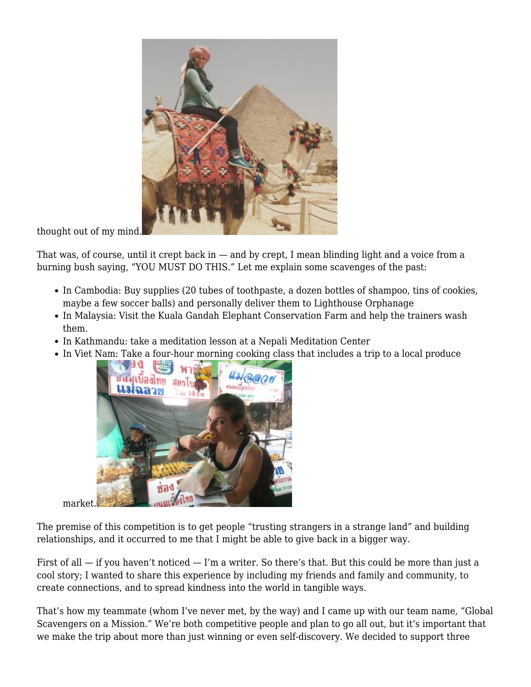

thought out of my mind.

That was, of course, until it crept back in  $-$  and by crept, I mean blinding light and a voice from a burning bush saying, "YOU MUST DO THIS." Let me explain some scavenges of the past:

- In Cambodia: Buy supplies (20 tubes of toothpaste, a dozen bottles of shampoo, tins of cookies, maybe a few soccer balls) and personally deliver them to Lighthouse Orphanage
- In Malaysia: Visit the Kuala Gandah Elephant Conservation Farm and help the trainers wash them.
- In Kathmandu: take a meditation lesson at a Nepali Meditation Center
- In Viet Nam: Take a four-hour morning cooking class that includes a trip to a local produce



market.

The premise of this competition is to get people "trusting strangers in a strange land" and building relationships, and it occurred to me that I might be able to give back in a bigger way.

First of all — if you haven't noticed — I'm a writer. So there's that. But this could be more than just a cool story; I wanted to share this experience by including my friends and family and community, to create connections, and to spread kindness into the world in tangible ways.

That's how my teammate (whom I've never met, by the way) and I came up with our team name, "Global Scavengers on a Mission." We're both competitive people and plan to go all out, but it's important that we make the trip about more than just winning or even self-discovery. We decided to support three